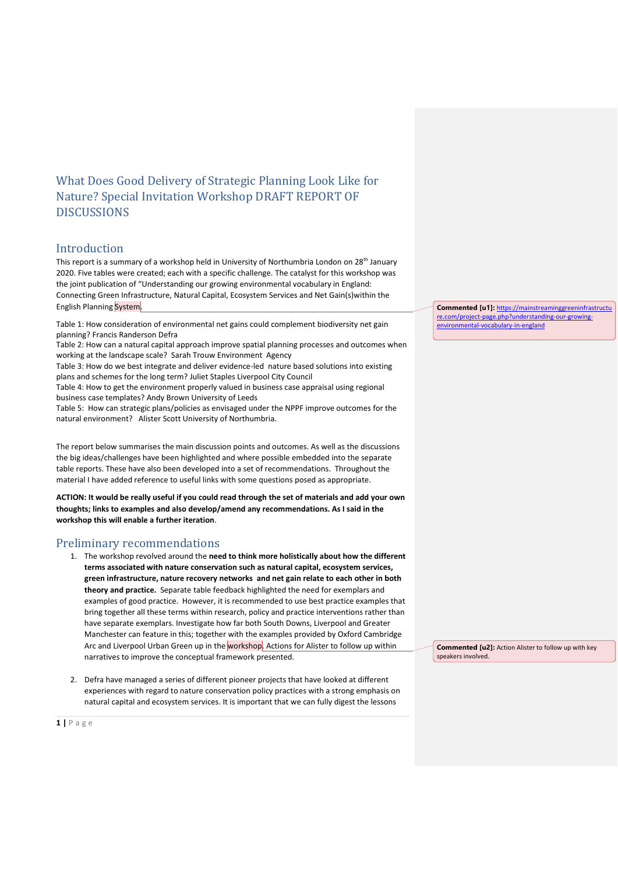# What Does Good Delivery of Strategic Planning Look Like for Nature? Special Invitation Workshop DRAFT REPORT OF **DISCUSSIONS**

## Introduction

This report is a summary of a workshop held in University of Northumbria London on 28<sup>th</sup> January 2020. Five tables were created; each with a specific challenge. The catalyst for this workshop was the joint publication of "Understanding our growing environmental vocabulary in England: Connecting Green Infrastructure, Natural Capital, Ecosystem Services and Net Gain(s)within the English Planning System.

Table 1: How consideration of environmental net gains could complement biodiversity net gain planning? Francis Randerson Defra

Table 2: How can a natural capital approach improve spatial planning processes and outcomes when working at the landscape scale? Sarah Trouw Environment Agency

Table 3: How do we best integrate and deliver evidence-led nature based solutions into existing plans and schemes for the long term? Juliet Staples Liverpool City Council

Table 4: How to get the environment properly valued in business case appraisal using regional business case templates? Andy Brown University of Leeds

Table 5: How can strategic plans/policies as envisaged under the NPPF improve outcomes for the natural environment? Alister Scott University of Northumbria.

The report below summarises the main discussion points and outcomes. As well as the discussions the big ideas/challenges have been highlighted and where possible embedded into the separate table reports. These have also been developed into a set of recommendations. Throughout the material I have added reference to useful links with some questions posed as appropriate.

**ACTION: It would be really useful if you could read through the set of materials and add your own thoughts; links to examples and also develop/amend any recommendations. As I said in the workshop this will enable a further iteration**.

## Preliminary recommendations

- 1. The workshop revolved around the **need to think more holistically about how the different terms associated with nature conservation such as natural capital, ecosystem services, green infrastructure, nature recovery networks and net gain relate to each other in both theory and practice.** Separate table feedback highlighted the need for exemplars and examples of good practice. However, it is recommended to use best practice examples that bring together all these terms within research, policy and practice interventions rather than have separate exemplars. Investigate how far both South Downs, Liverpool and Greater Manchester can feature in this; together with the examples provided by Oxford Cambridge Arc and Liverpool Urban Green up in the workshop. Actions for Alister to follow up within narratives to improve the conceptual framework presented.
- 2. Defra have managed a series of different pioneer projects that have looked at different experiences with regard to nature conservation policy practices with a strong emphasis on natural capital and ecosystem services. It is important that we can fully digest the lessons

**Commented [u1]:** [https://mainstreaminggreeninfrastructu](https://mainstreaminggreeninfrastructure.com/project-page.php?understanding-our-growing-environmental-vocabulary-in-england) [re.com/project-page.php?understanding-our-growing](https://mainstreaminggreeninfrastructure.com/project-page.php?understanding-our-growing-environmental-vocabulary-in-england)[environmental-vocabulary-in-england](https://mainstreaminggreeninfrastructure.com/project-page.php?understanding-our-growing-environmental-vocabulary-in-england)

**Commented [u2]:** Action Alister to follow up with key speakers involved.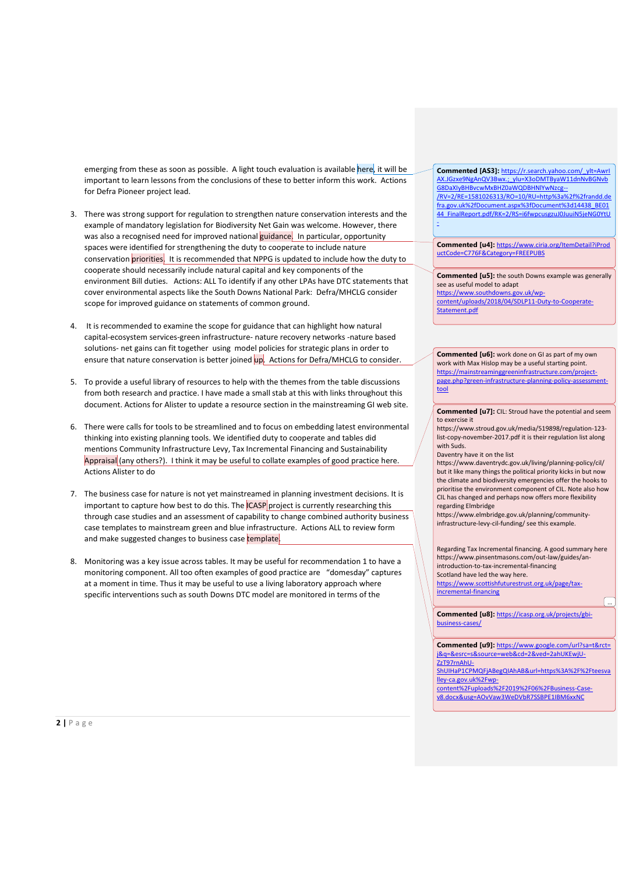emerging from these as soon as possible. A light touch evaluation is available here, it will be important to learn lessons from the conclusions of these to better inform this work. Actions for Defra Pioneer project lead.

- 3. There was strong support for regulation to strengthen nature conservation interests and the example of mandatory legislation for Biodiversity Net Gain was welcome. However, there was also a recognised need for improved national guidance. In particular, opportunity spaces were identified for strengthening the duty to cooperate to include nature conservation priorities. It is recommended that NPPG is updated to include how the duty to cooperate should necessarily include natural capital and key components of the environment Bill duties. Actions: ALL To identify if any other LPAs have DTC statements that cover environmental aspects like the South Downs National Park: Defra/MHCLG consider scope for improved guidance on statements of common ground.
- 4. It is recommended to examine the scope for guidance that can highlight how natural capital-ecosystem services-green infrastructure- nature recovery networks -nature based solutions- net gains can fit together using model policies for strategic plans in order to ensure that nature conservation is better joined up. Actions for Defra/MHCLG to consider.
- 5. To provide a useful library of resources to help with the themes from the table discussions from both research and practice. I have made a small stab at this with links throughout this document. Actions for Alister to update a resource section in the mainstreaming GI web site.
- 6. There were calls for tools to be streamlined and to focus on embedding latest environmental thinking into existing planning tools. We identified duty to cooperate and tables did mentions Community Infrastructure Levy, Tax Incremental Financing and Sustainability Appraisal (any others?). I think it may be useful to collate examples of good practice here. Actions Alister to do
- 7. The business case for nature is not yet mainstreamed in planning investment decisions. It is important to capture how best to do this. The  $|CASP|$  project is currently researching this through case studies and an assessment of capability to change combined authority business case templates to mainstream green and blue infrastructure. Actions ALL to review form and make suggested changes to business case template.
- 8. Monitoring was a key issue across tables. It may be useful for recommendation 1 to have a monitoring component. All too often examples of good practice are "domesday" captures at a moment in time. Thus it may be useful to use a living laboratory approach where specific interventions such as south Downs DTC model are monitored in terms of the

**Commented [AS3]:** [https://r.search.yahoo.com/\\_ylt=AwrI](https://r.search.yahoo.com/_ylt=AwrIAX.JGzxe9NgAnQV3Bwx.;_ylu=X3oDMTByaW11dnNvBGNvbG8DaXIyBHBvcwMxBHZ0aWQDBHNlYwNzcg--/RV=2/RE=1581026313/RO=10/RU=http%3a%2f%2frandd.defra.gov.uk%2fDocument.aspx%3fDocument%3d14438_BE0144_FinalReport.pdf/RK=2/RS=i6fwpcusgzuJ0JuuiN5jeNG0YtU-) [AX.JGzxe9NgAnQV3Bwx.;\\_ylu=X3oDMTByaW11dnNvBGNvb](https://r.search.yahoo.com/_ylt=AwrIAX.JGzxe9NgAnQV3Bwx.;_ylu=X3oDMTByaW11dnNvBGNvbG8DaXIyBHBvcwMxBHZ0aWQDBHNlYwNzcg--/RV=2/RE=1581026313/RO=10/RU=http%3a%2f%2frandd.defra.gov.uk%2fDocument.aspx%3fDocument%3d14438_BE0144_FinalReport.pdf/RK=2/RS=i6fwpcusgzuJ0JuuiN5jeNG0YtU-) [G8DaXIyBHBvcwMxBHZ0aWQDBHNlYwNzcg--](https://r.search.yahoo.com/_ylt=AwrIAX.JGzxe9NgAnQV3Bwx.;_ylu=X3oDMTByaW11dnNvBGNvbG8DaXIyBHBvcwMxBHZ0aWQDBHNlYwNzcg--/RV=2/RE=1581026313/RO=10/RU=http%3a%2f%2frandd.defra.gov.uk%2fDocument.aspx%3fDocument%3d14438_BE0144_FinalReport.pdf/RK=2/RS=i6fwpcusgzuJ0JuuiN5jeNG0YtU-) [/RV=2/RE=1581026313/RO=10/RU=http%3a%2f%2frandd.de](https://r.search.yahoo.com/_ylt=AwrIAX.JGzxe9NgAnQV3Bwx.;_ylu=X3oDMTByaW11dnNvBGNvbG8DaXIyBHBvcwMxBHZ0aWQDBHNlYwNzcg--/RV=2/RE=1581026313/RO=10/RU=http%3a%2f%2frandd.defra.gov.uk%2fDocument.aspx%3fDocument%3d14438_BE0144_FinalReport.pdf/RK=2/RS=i6fwpcusgzuJ0JuuiN5jeNG0YtU-) [fra.gov.uk%2fDocument.aspx%3fDocument%3d14438\\_BE01](https://r.search.yahoo.com/_ylt=AwrIAX.JGzxe9NgAnQV3Bwx.;_ylu=X3oDMTByaW11dnNvBGNvbG8DaXIyBHBvcwMxBHZ0aWQDBHNlYwNzcg--/RV=2/RE=1581026313/RO=10/RU=http%3a%2f%2frandd.defra.gov.uk%2fDocument.aspx%3fDocument%3d14438_BE0144_FinalReport.pdf/RK=2/RS=i6fwpcusgzuJ0JuuiN5jeNG0YtU-) [44\\_FinalReport.pdf/RK=2/RS=i6fwpcusgzuJ0JuuiN5jeNG0YtU](https://r.search.yahoo.com/_ylt=AwrIAX.JGzxe9NgAnQV3Bwx.;_ylu=X3oDMTByaW11dnNvBGNvbG8DaXIyBHBvcwMxBHZ0aWQDBHNlYwNzcg--/RV=2/RE=1581026313/RO=10/RU=http%3a%2f%2frandd.defra.gov.uk%2fDocument.aspx%3fDocument%3d14438_BE0144_FinalReport.pdf/RK=2/RS=i6fwpcusgzuJ0JuuiN5jeNG0YtU-) [-](https://r.search.yahoo.com/_ylt=AwrIAX.JGzxe9NgAnQV3Bwx.;_ylu=X3oDMTByaW11dnNvBGNvbG8DaXIyBHBvcwMxBHZ0aWQDBHNlYwNzcg--/RV=2/RE=1581026313/RO=10/RU=http%3a%2f%2frandd.defra.gov.uk%2fDocument.aspx%3fDocument%3d14438_BE0144_FinalReport.pdf/RK=2/RS=i6fwpcusgzuJ0JuuiN5jeNG0YtU-)

**Commented [u4]:** [https://www.ciria.org/ItemDetail?iProd](https://www.ciria.org/ItemDetail?iProductCode=C776F&Category=FREEPUBS) [uctCode=C776F&Category=FREEPUBS](https://www.ciria.org/ItemDetail?iProductCode=C776F&Category=FREEPUBS)

**Commented [u5]:** the south Downs example was generally see as useful model to adapt [https://www.southdowns.gov.uk/wp](https://www.southdowns.gov.uk/wp-content/uploads/2018/04/SDLP11-Duty-to-Cooperate-Statement.pdf)[content/uploads/2018/04/SDLP11-Duty-to-Cooperate-](https://www.southdowns.gov.uk/wp-content/uploads/2018/04/SDLP11-Duty-to-Cooperate-Statement.pdf)[Statement.pdf](https://www.southdowns.gov.uk/wp-content/uploads/2018/04/SDLP11-Duty-to-Cooperate-Statement.pdf)

**Commented [u6]:** work done on GI as part of my own work with Max Hislop may be a useful starting point. [https://mainstreaminggreeninfrastructure.com/project](https://mainstreaminggreeninfrastructure.com/project-page.php?green-infrastructure-planning-policy-assessment-tool)[page.php?green-infrastructure-planning-policy-assessment](https://mainstreaminggreeninfrastructure.com/project-page.php?green-infrastructure-planning-policy-assessment-tool)[tool](https://mainstreaminggreeninfrastructure.com/project-page.php?green-infrastructure-planning-policy-assessment-tool)

**Commented [u7]:** CIL: Stroud have the potential and seem to exercise it

https://www.stroud.gov.uk/media/519898/regulation-123 list-copy-november-2017.pdf it is their regulation list along with Suds.

Daventry have it on the list

https://www.daventrydc.gov.uk/living/planning-policy/cil/ but it like many things the political priority kicks in but now the climate and biodiversity emergencies offer the hooks to prioritise the environment component of CIL. Note also how CIL has changed and perhaps now offers more flexibility regarding Elmbridge

https://www.elmbridge.gov.uk/planning/communityinfrastructure-levy-cil-funding/ see this example.

Regarding Tax Incremental financing. A good summary here https://www.pinsentmasons.com/out-law/guides/anintroduction-to-tax-incremental-financing Scotland have led the way here.

[https://www.scottishfuturestrust.org.uk/page/tax](https://www.scottishfuturestrust.org.uk/page/tax-incremental-financing)[incremental-financing](https://www.scottishfuturestrust.org.uk/page/tax-incremental-financing)

**Commented [u8]:** [https://icasp.org.uk/projects/gbi](https://icasp.org.uk/projects/gbi-business-cases/)[business-cases/](https://icasp.org.uk/projects/gbi-business-cases/)

...

**Commented [u9]:** [https://www.google.com/url?sa=t&rct=](https://www.google.com/url?sa=t&rct=j&q=&esrc=s&source=web&cd=2&ved=2ahUKEwjU-ZzT97rnAhU-ShUIHaP1CPMQFjABegQIAhAB&url=https%3A%2F%2Fteesvalley-ca.gov.uk%2Fwp-content%2Fuploads%2F2019%2F06%2FBusiness-Case-v8.docx&usg=AOvVaw3WeDVbR7SSBPE1IBM6xxNC) [j&q=&esrc=s&source=web&cd=2&ved=2ahUKEwjU-](https://www.google.com/url?sa=t&rct=j&q=&esrc=s&source=web&cd=2&ved=2ahUKEwjU-ZzT97rnAhU-ShUIHaP1CPMQFjABegQIAhAB&url=https%3A%2F%2Fteesvalley-ca.gov.uk%2Fwp-content%2Fuploads%2F2019%2F06%2FBusiness-Case-v8.docx&usg=AOvVaw3WeDVbR7SSBPE1IBM6xxNC)[ZzT97rnAhU-](https://www.google.com/url?sa=t&rct=j&q=&esrc=s&source=web&cd=2&ved=2ahUKEwjU-ZzT97rnAhU-ShUIHaP1CPMQFjABegQIAhAB&url=https%3A%2F%2Fteesvalley-ca.gov.uk%2Fwp-content%2Fuploads%2F2019%2F06%2FBusiness-Case-v8.docx&usg=AOvVaw3WeDVbR7SSBPE1IBM6xxNC)[ShUIHaP1CPMQFjABegQIAhAB&url=https%3A%2F%2Fteesva](https://www.google.com/url?sa=t&rct=j&q=&esrc=s&source=web&cd=2&ved=2ahUKEwjU-ZzT97rnAhU-ShUIHaP1CPMQFjABegQIAhAB&url=https%3A%2F%2Fteesvalley-ca.gov.uk%2Fwp-content%2Fuploads%2F2019%2F06%2FBusiness-Case-v8.docx&usg=AOvVaw3WeDVbR7SSBPE1IBM6xxNC) [lley-ca.gov.uk%2Fwp-](https://www.google.com/url?sa=t&rct=j&q=&esrc=s&source=web&cd=2&ved=2ahUKEwjU-ZzT97rnAhU-ShUIHaP1CPMQFjABegQIAhAB&url=https%3A%2F%2Fteesvalley-ca.gov.uk%2Fwp-content%2Fuploads%2F2019%2F06%2FBusiness-Case-v8.docx&usg=AOvVaw3WeDVbR7SSBPE1IBM6xxNC)

[content%2Fuploads%2F2019%2F06%2FBusiness-Case](https://www.google.com/url?sa=t&rct=j&q=&esrc=s&source=web&cd=2&ved=2ahUKEwjU-ZzT97rnAhU-ShUIHaP1CPMQFjABegQIAhAB&url=https%3A%2F%2Fteesvalley-ca.gov.uk%2Fwp-content%2Fuploads%2F2019%2F06%2FBusiness-Case-v8.docx&usg=AOvVaw3WeDVbR7SSBPE1IBM6xxNC)[v8.docx&usg=AOvVaw3WeDVbR7SSBPE1IBM6xxNC](https://www.google.com/url?sa=t&rct=j&q=&esrc=s&source=web&cd=2&ved=2ahUKEwjU-ZzT97rnAhU-ShUIHaP1CPMQFjABegQIAhAB&url=https%3A%2F%2Fteesvalley-ca.gov.uk%2Fwp-content%2Fuploads%2F2019%2F06%2FBusiness-Case-v8.docx&usg=AOvVaw3WeDVbR7SSBPE1IBM6xxNC)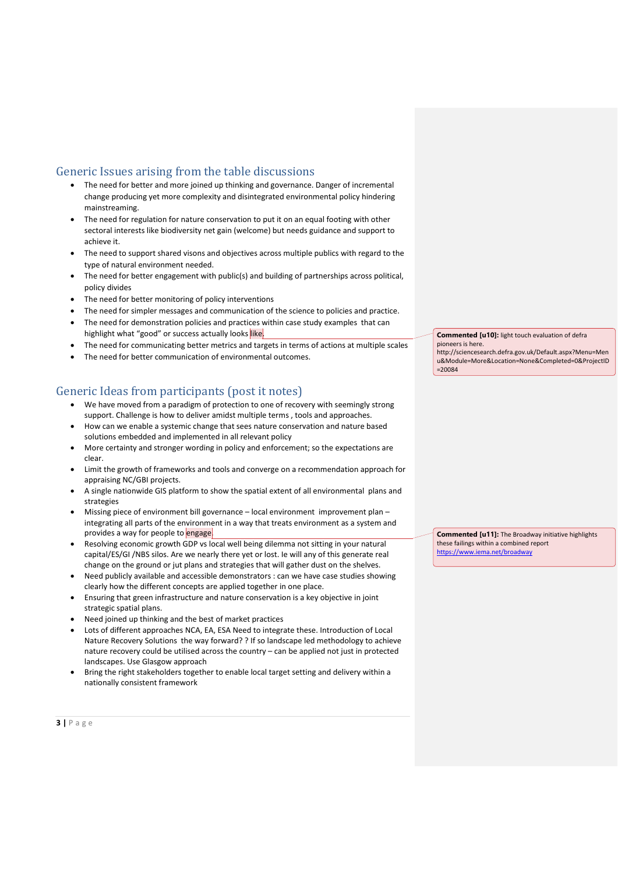## Generic Issues arising from the table discussions

- The need for better and more joined up thinking and governance. Danger of incremental change producing yet more complexity and disintegrated environmental policy hindering mainstreaming.
- The need for regulation for nature conservation to put it on an equal footing with other sectoral interests like biodiversity net gain (welcome) but needs guidance and support to achieve it.
- The need to support shared visons and objectives across multiple publics with regard to the type of natural environment needed.
- The need for better engagement with public(s) and building of partnerships across political, policy divides
- The need for better monitoring of policy interventions
- The need for simpler messages and communication of the science to policies and practice.
- The need for demonstration policies and practices within case study examples that can highlight what "good" or success actually looks like.
- The need for communicating better metrics and targets in terms of actions at multiple scales
- The need for better communication of environmental outcomes.

## Generic Ideas from participants (post it notes)

- We have moved from a paradigm of protection to one of recovery with seemingly strong support. Challenge is how to deliver amidst multiple terms , tools and approaches.
- How can we enable a systemic change that sees nature conservation and nature based solutions embedded and implemented in all relevant policy
- More certainty and stronger wording in policy and enforcement; so the expectations are clear.
- Limit the growth of frameworks and tools and converge on a recommendation approach for appraising NC/GBI projects.
- A single nationwide GIS platform to show the spatial extent of all environmental plans and strategies
- Missing piece of environment bill governance local environment improvement plan integrating all parts of the environment in a way that treats environment as a system and provides a way for people to engage.
- Resolving economic growth GDP vs local well being dilemma not sitting in your natural capital/ES/GI /NBS silos. Are we nearly there yet or lost. Ie will any of this generate real change on the ground or jut plans and strategies that will gather dust on the shelves.
- Need publicly available and accessible demonstrators : can we have case studies showing clearly how the different concepts are applied together in one place.
- Ensuring that green infrastructure and nature conservation is a key objective in joint strategic spatial plans.
- Need joined up thinking and the best of market practices
- Lots of different approaches NCA, EA, ESA Need to integrate these. Introduction of Local Nature Recovery Solutions the way forward? ? If so landscape led methodology to achieve nature recovery could be utilised across the country – can be applied not just in protected landscapes. Use Glasgow approach
- Bring the right stakeholders together to enable local target setting and delivery within a nationally consistent framework

**Commented [u10]:** light touch evaluation of defra pioneers is here.

http://sciencesearch.defra.gov.uk/Default.aspx?Menu=Men u&Module=More&Location=None&Completed=0&ProjectID =20084

**Commented [u11]:** The Broadway initiative highlights these failings within a combined report <https://www.iema.net/broadway>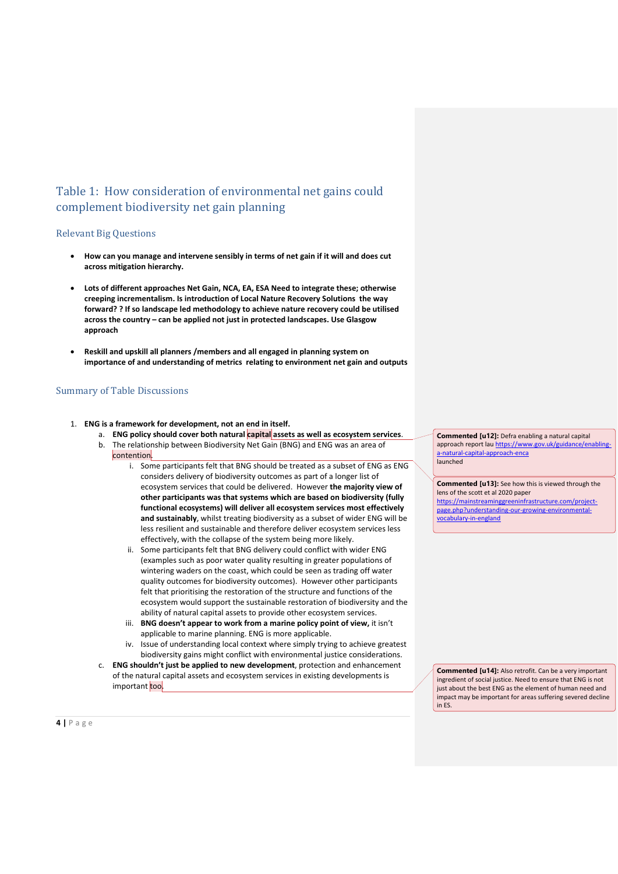# Table 1: How consideration of environmental net gains could complement biodiversity net gain planning

## Relevant Big Questions

- **How can you manage and intervene sensibly in terms of net gain if it will and does cut across mitigation hierarchy.**
- **Lots of different approaches Net Gain, NCA, EA, ESA Need to integrate these; otherwise creeping incrementalism. Is introduction of Local Nature Recovery Solutions the way forward? ? If so landscape led methodology to achieve nature recovery could be utilised across the country – can be applied not just in protected landscapes. Use Glasgow approach**
- **Reskill and upskill all planners /members and all engaged in planning system on importance of and understanding of metrics relating to environment net gain and outputs**

## Summary of Table Discussions

- 1. **ENG is a framework for development, not an end in itself.**
	- a. **ENG policy should cover both natural capital assets as well as ecosystem services**.
	- b. The relationship between Biodiversity Net Gain (BNG) and ENG was an area of
	- contention.
		- i. Some participants felt that BNG should be treated as a subset of ENG as ENG considers delivery of biodiversity outcomes as part of a longer list of ecosystem services that could be delivered. However **the majority view of other participants was that systems which are based on biodiversity (fully functional ecosystems) will deliver all ecosystem services most effectively and sustainably**, whilst treating biodiversity as a subset of wider ENG will be less resilient and sustainable and therefore deliver ecosystem services less effectively, with the collapse of the system being more likely.
		- ii. Some participants felt that BNG delivery could conflict with wider ENG (examples such as poor water quality resulting in greater populations of wintering waders on the coast, which could be seen as trading off water quality outcomes for biodiversity outcomes). However other participants felt that prioritising the restoration of the structure and functions of the ecosystem would support the sustainable restoration of biodiversity and the ability of natural capital assets to provide other ecosystem services.
		- iii. **BNG doesn't appear to work from a marine policy point of view,** it isn't applicable to marine planning. ENG is more applicable.
		- iv. Issue of understanding local context where simply trying to achieve greatest biodiversity gains might conflict with environmental justice considerations.
	- c. **ENG shouldn't just be applied to new development**, protection and enhancement of the natural capital assets and ecosystem services in existing developments is important too.

**Commented [u12]:** Defra enabling a natural capital approach report lau [https://www.gov.uk/guidance/enabling](https://www.gov.uk/guidance/enabling-a-natural-capital-approach-enca)[a-natural-capital-approach-enca](https://www.gov.uk/guidance/enabling-a-natural-capital-approach-enca) launched

**Commented [u13]:** See how this is viewed through the lens of the scott et al 2020 paper

[https://mainstreaminggreeninfrastructure.com/project](https://mainstreaminggreeninfrastructure.com/project-page.php?understanding-our-growing-environmental-vocabulary-in-england)[page.php?understanding-our-growing-environmental](https://mainstreaminggreeninfrastructure.com/project-page.php?understanding-our-growing-environmental-vocabulary-in-england)[vocabulary-in-england](https://mainstreaminggreeninfrastructure.com/project-page.php?understanding-our-growing-environmental-vocabulary-in-england)

**Commented [u14]:** Also retrofit. Can be a very important ingredient of social justice. Need to ensure that ENG is not just about the best ENG as the element of human need and impact may be important for areas suffering severed decline in ES.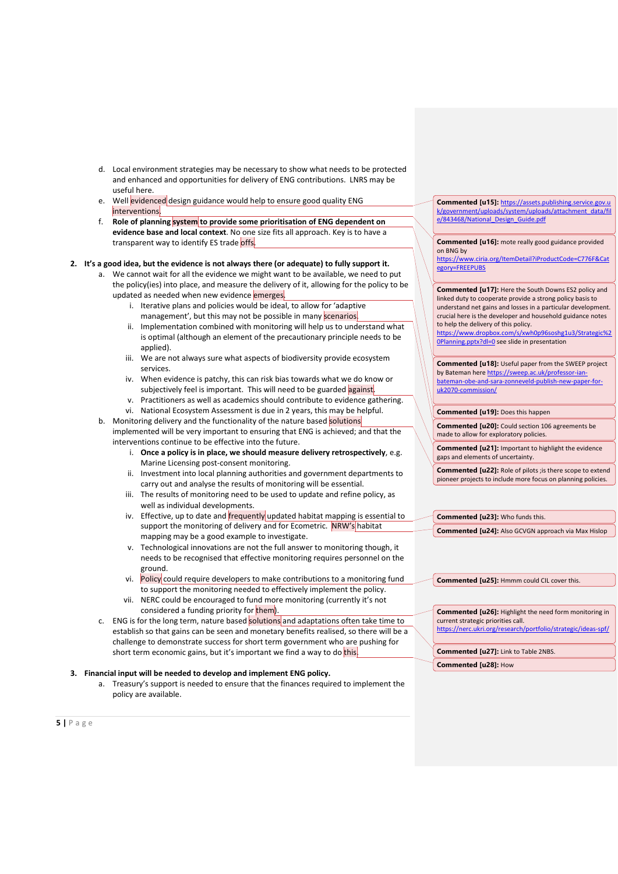- d. Local environment strategies may be necessary to show what needs to be protected and enhanced and opportunities for delivery of ENG contributions. LNRS may be useful here.
- e. Well evidenced design guidance would help to ensure good quality ENG interventions.
- f. **Role of planning system to provide some prioritisation of ENG dependent on evidence base and local context**. No one size fits all approach. Key is to have a transparent way to identify ES trade offs.

#### **2. It's a good idea, but the evidence is not always there (or adequate) to fully support it.**

- We cannot wait for all the evidence we might want to be available, we need to put the policy(ies) into place, and measure the delivery of it, allowing for the policy to be updated as needed when new evidence emerges.
	- i. Iterative plans and policies would be ideal, to allow for 'adaptive management', but this may not be possible in many scenarios.
	- ii. Implementation combined with monitoring will help us to understand what is optimal (although an element of the precautionary principle needs to be applied).
	- iii. We are not always sure what aspects of biodiversity provide ecosystem services.
	- iv. When evidence is patchy, this can risk bias towards what we do know or subjectively feel is important. This will need to be guarded against.
	- v. Practitioners as well as academics should contribute to evidence gathering.
	- vi. National Ecosystem Assessment is due in 2 years, this may be helpful.
- b. Monitoring delivery and the functionality of the nature based solutions implemented will be very important to ensuring that ENG is achieved; and that the interventions continue to be effective into the future.
	- i. **Once a policy is in place, we should measure delivery retrospectively**, e.g. Marine Licensing post-consent monitoring.
	- ii. Investment into local planning authorities and government departments to carry out and analyse the results of monitoring will be essential.
	- iii. The results of monitoring need to be used to update and refine policy, as well as individual developments.
	- iv. Effective, up to date and **frequently** updated habitat mapping is essential to support the monitoring of delivery and for Ecometric. NRW's habitat mapping may be a good example to investigate.
	- v. Technological innovations are not the full answer to monitoring though, it needs to be recognised that effective monitoring requires personnel on the ground.
	- vi. Policy could require developers to make contributions to a monitoring fund to support the monitoring needed to effectively implement the policy.
	- vii. NERC could be encouraged to fund more monitoring (currently it's not considered a funding priority for them).
- c. ENG is for the long term, nature based solutions and adaptations often take time to establish so that gains can be seen and monetary benefits realised, so there will be a challenge to demonstrate success for short term government who are pushing for short term economic gains, but it's important we find a way to do this.

### **3. Financial input will be needed to develop and implement ENG policy.**

a. Treasury's support is needed to ensure that the finances required to implement the policy are available.

**Commented [u15]:** [https://assets.publishing.service.gov.u](https://assets.publishing.service.gov.uk/government/uploads/system/uploads/attachment_data/file/843468/National_Design_Guide.pdf) [k/government/uploads/system/uploads/attachment\\_data/fil](https://assets.publishing.service.gov.uk/government/uploads/system/uploads/attachment_data/file/843468/National_Design_Guide.pdf) [e/843468/National\\_Design\\_Guide.pdf](https://assets.publishing.service.gov.uk/government/uploads/system/uploads/attachment_data/file/843468/National_Design_Guide.pdf)

**Commented [u16]:** mote really good guidance provided on BNG by

[https://www.ciria.org/ItemDetail?iProductCode=C776F&Cat](https://www.ciria.org/ItemDetail?iProductCode=C776F&Category=FREEPUBS) [egory=FREEPUBS](https://www.ciria.org/ItemDetail?iProductCode=C776F&Category=FREEPUBS)

**Commented [u17]:** Here the South Downs ES2 policy and linked duty to cooperate provide a strong policy basis to understand net gains and losses in a particular development. crucial here is the developer and household guidance notes to help the delivery of this policy.

[https://www.dropbox.com/s/xwh0p96soshg1u3/Strategic%2](https://www.dropbox.com/s/xwh0p96soshg1u3/Strategic%20Planning.pptx?dl=0) [0Planning.pptx?dl=0](https://www.dropbox.com/s/xwh0p96soshg1u3/Strategic%20Planning.pptx?dl=0) see slide in presentation

**Commented [u18]:** Useful paper from the SWEEP project by Bateman her[e https://sweep.ac.uk/professor-ian](https://sweep.ac.uk/professor-ian-bateman-obe-and-sara-zonneveld-publish-new-paper-for-uk2070-commission/)[bateman-obe-and-sara-zonneveld-publish-new-paper-for](https://sweep.ac.uk/professor-ian-bateman-obe-and-sara-zonneveld-publish-new-paper-for-uk2070-commission/)[uk2070-commission/](https://sweep.ac.uk/professor-ian-bateman-obe-and-sara-zonneveld-publish-new-paper-for-uk2070-commission/)

**Commented [u19]:** Does this happen

**Commented [u20]:** Could section 106 agreements be made to allow for exploratory policies.

**Commented [u21]:** Important to highlight the evidence gaps and elements of uncertainty.

**Commented [u22]:** Role of pilots ;is there scope to extend pioneer projects to include more focus on planning policies.

**Commented [u23]:** Who funds this.

**Commented [u24]:** Also GCVGN approach via Max Hislop

**Commented [u25]:** Hmmm could CIL cover this.

**Commented [u26]:** Highlight the need form monitoring in current strategic priorities call. <https://nerc.ukri.org/research/portfolio/strategic/ideas-spf/>

**Commented [u27]:** Link to Table 2NBS.

**Commented [u28]:** How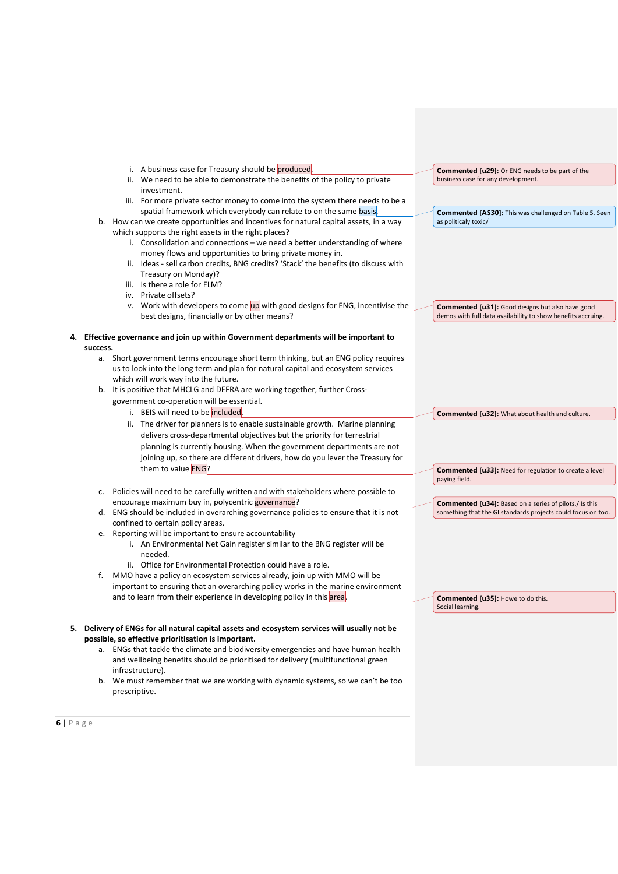|          | i. A business case for Treasury should be produced.                                                                     |                                                                                                                               |
|----------|-------------------------------------------------------------------------------------------------------------------------|-------------------------------------------------------------------------------------------------------------------------------|
|          |                                                                                                                         | <b>Commented [u29]:</b> Or ENG needs to be part of the                                                                        |
|          | ii. We need to be able to demonstrate the benefits of the policy to private                                             | business case for any development.                                                                                            |
|          | investment.                                                                                                             |                                                                                                                               |
|          | iii. For more private sector money to come into the system there needs to be a                                          |                                                                                                                               |
|          | spatial framework which everybody can relate to on the same basis.                                                      | <b>Commented [AS30]:</b> This was challenged on Table 5. Seen                                                                 |
| b.       | How can we create opportunities and incentives for natural capital assets, in a way                                     | as politicaly toxic/                                                                                                          |
|          | which supports the right assets in the right places?                                                                    |                                                                                                                               |
|          | i. Consolidation and connections – we need a better understanding of where                                              |                                                                                                                               |
|          | money flows and opportunities to bring private money in.                                                                |                                                                                                                               |
|          | ii. Ideas - sell carbon credits, BNG credits? 'Stack' the benefits (to discuss with                                     |                                                                                                                               |
|          | Treasury on Monday)?                                                                                                    |                                                                                                                               |
|          | iii. Is there a role for ELM?                                                                                           |                                                                                                                               |
|          | iv. Private offsets?                                                                                                    |                                                                                                                               |
|          | v. Work with developers to come up with good designs for ENG, incentivise the                                           | <b>Commented [u31]:</b> Good designs but also have good                                                                       |
|          | best designs, financially or by other means?                                                                            | demos with full data availability to show benefits accruing.                                                                  |
|          |                                                                                                                         |                                                                                                                               |
|          | 4. Effective governance and join up within Government departments will be important to                                  |                                                                                                                               |
| success. |                                                                                                                         |                                                                                                                               |
|          | a. Short government terms encourage short term thinking, but an ENG policy requires                                     |                                                                                                                               |
|          | us to look into the long term and plan for natural capital and ecosystem services                                       |                                                                                                                               |
|          | which will work way into the future.                                                                                    |                                                                                                                               |
|          | b. It is positive that MHCLG and DEFRA are working together, further Cross-                                             |                                                                                                                               |
|          | government co-operation will be essential.                                                                              |                                                                                                                               |
|          | i. BEIS will need to be included.                                                                                       | <b>Commented [u32]:</b> What about health and culture.                                                                        |
|          | ii. The driver for planners is to enable sustainable growth. Marine planning                                            |                                                                                                                               |
|          | delivers cross-departmental objectives but the priority for terrestrial                                                 |                                                                                                                               |
|          | planning is currently housing. When the government departments are not                                                  |                                                                                                                               |
|          | joining up, so there are different drivers, how do you lever the Treasury for                                           |                                                                                                                               |
|          | them to value ENG?                                                                                                      |                                                                                                                               |
|          |                                                                                                                         | <b>Commented [u33]: Need for regulation to create a level</b><br>paying field.                                                |
|          |                                                                                                                         |                                                                                                                               |
| c.       | Policies will need to be carefully written and with stakeholders where possible to                                      |                                                                                                                               |
| d.       | encourage maximum buy in, polycentric governance?                                                                       | <b>Commented [u34]:</b> Based on a series of pilots./ Is this<br>something that the GI standards projects could focus on too. |
|          | ENG should be included in overarching governance policies to ensure that it is not<br>confined to certain policy areas. |                                                                                                                               |
| e.       | Reporting will be important to ensure accountability                                                                    |                                                                                                                               |
|          | i. An Environmental Net Gain register similar to the BNG register will be                                               |                                                                                                                               |
|          | needed.                                                                                                                 |                                                                                                                               |
|          | ii. Office for Environmental Protection could have a role.                                                              |                                                                                                                               |
| f.       | MMO have a policy on ecosystem services already, join up with MMO will be                                               |                                                                                                                               |
|          | important to ensuring that an overarching policy works in the marine environment                                        |                                                                                                                               |
|          | and to learn from their experience in developing policy in this area.                                                   | <b>Commented [u35]: Howe to do this.</b>                                                                                      |
|          |                                                                                                                         | Social learning.                                                                                                              |
|          |                                                                                                                         |                                                                                                                               |
|          | 5. Delivery of ENGs for all natural capital assets and ecosystem services will usually not be                           |                                                                                                                               |
|          | possible, so effective prioritisation is important.                                                                     |                                                                                                                               |
|          | a. ENGs that tackle the climate and biodiversity emergencies and have human health                                      |                                                                                                                               |
|          | and wellbeing benefits should be prioritised for delivery (multifunctional green                                        |                                                                                                                               |
|          | infrastructure).                                                                                                        |                                                                                                                               |

prescriptive.

b. We must remember that we are working with dynamic systems, so we can't be too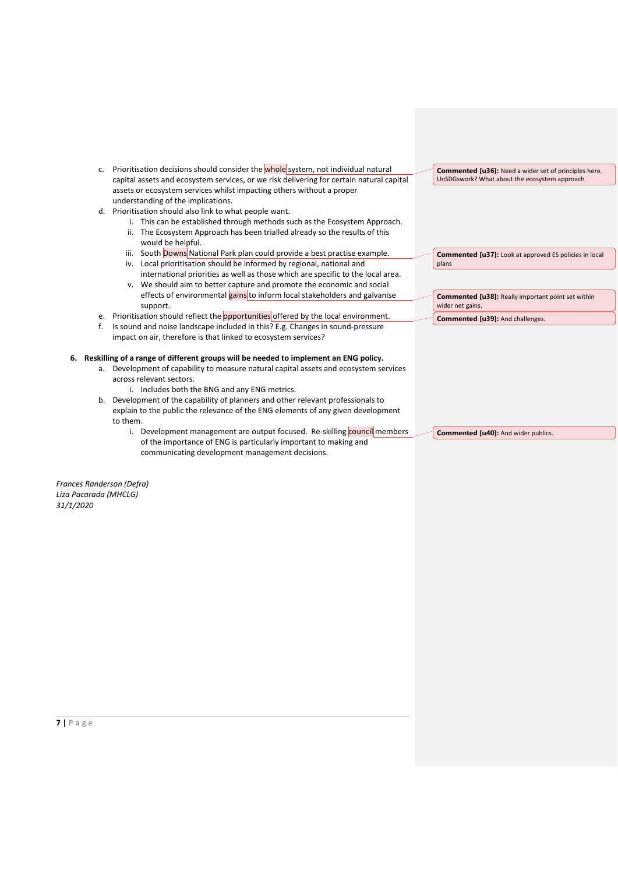- c. Prioritisation decisions should consider the whole system, not individual natural capital assets and ecosystem services, or we risk delivering for certain natural capital assets or ecosystem services whilst impacting others without a proper understanding of the implications.
- d. Prioritisation should also link to what people want.
	- i. This can be established through methods such as the Ecosystem Approach.
	- ii. The Ecosystem Approach has been trialled already so the results of this would be helpful.
	- iii. South Downs National Park plan could provide a best practise example. iv. Local prioritisation should be informed by regional, national and
	- international priorities as well as those which are specific to the local area. v. We should aim to better capture and promote the economic and social
	- effects of environmental gains to inform local stakeholders and galvanise support.
- e. Prioritisation should reflect the opportunities offered by the local environment.
- f. Is sound and noise landscape included in this? E.g. Changes in sound-pressure impact on air, therefore is that linked to ecosystem services?

#### **6. Reskilling of a range of different groups will be needed to implement an ENG policy.**

- a. Development of capability to measure natural capital assets and ecosystem services across relevant sectors.
	- i. Includes both the BNG and any ENG metrics.
- b. Development of the capability of planners and other relevant professionals to explain to the public the relevance of the ENG elements of any given development to them.
	- i. Development management are output focused. Re-skilling council members of the importance of ENG is particularly important to making and communicating development management decisions.

**Commented [u36]:** Need a wider set of principles here. UnSDGswork? What about the ecosystem approach

**Commented [u37]:** Look at approved ES policies in local plans

**Commented [u38]:** Really important point set within wider net gains.

**Commented [u39]:** And challenges.

**Commented [u40]:** And wider publics.

*Frances Randerson (Defra) Liza Pacarada (MHCLG) 31/1/2020*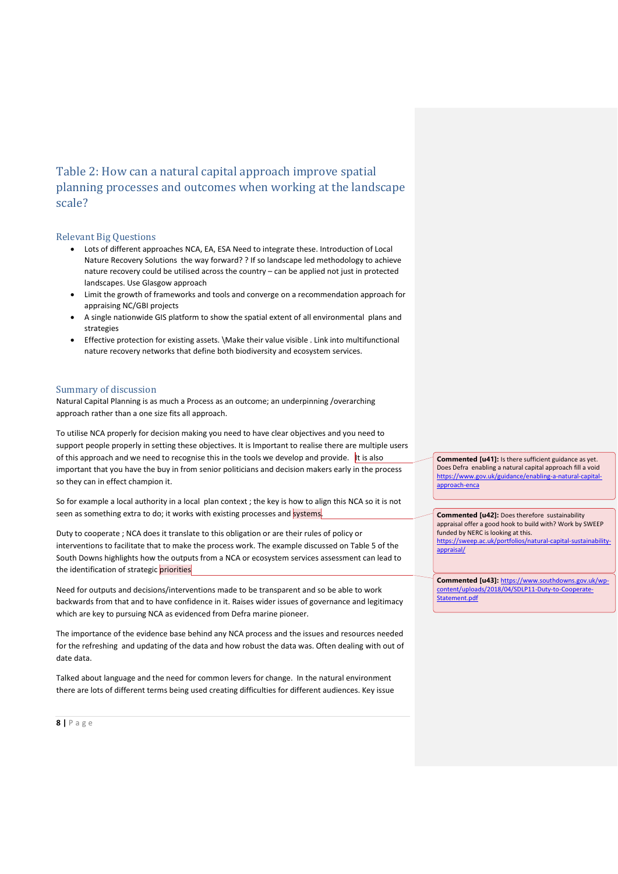## Table 2: How can a natural capital approach improve spatial planning processes and outcomes when working at the landscape scale?

### Relevant Big Questions

- Lots of different approaches NCA, EA, ESA Need to integrate these. Introduction of Local Nature Recovery Solutions the way forward? ? If so landscape led methodology to achieve nature recovery could be utilised across the country – can be applied not just in protected landscapes. Use Glasgow approach
- Limit the growth of frameworks and tools and converge on a recommendation approach for appraising NC/GBI projects
- A single nationwide GIS platform to show the spatial extent of all environmental plans and strategies
- Effective protection for existing assets. \Make their value visible . Link into multifunctional nature recovery networks that define both biodiversity and ecosystem services.

## Summary of discussion

Natural Capital Planning is as much a Process as an outcome; an underpinning /overarching approach rather than a one size fits all approach.

To utilise NCA properly for decision making you need to have clear objectives and you need to support people properly in setting these objectives. It is Important to realise there are multiple users of this approach and we need to recognise this in the tools we develop and provide. It is also important that you have the buy in from senior politicians and decision makers early in the process so they can in effect champion it.

So for example a local authority in a local plan context ; the key is how to align this NCA so it is not seen as something extra to do; it works with existing processes and systems.

Duty to cooperate ; NCA does it translate to this obligation or are their rules of policy or interventions to facilitate that to make the process work. The example discussed on Table 5 of the South Downs highlights how the outputs from a NCA or ecosystem services assessment can lead to the identification of strategic priorities

Need for outputs and decisions/interventions made to be transparent and so be able to work backwards from that and to have confidence in it. Raises wider issues of governance and legitimacy which are key to pursuing NCA as evidenced from Defra marine pioneer.

The importance of the evidence base behind any NCA process and the issues and resources needed for the refreshing and updating of the data and how robust the data was. Often dealing with out of date data.

Talked about language and the need for common levers for change. In the natural environment there are lots of different terms being used creating difficulties for different audiences. Key issue **Commented [u41]:** Is there sufficient guidance as yet. Does Defra enabling a natural capital approach fill a void [https://www.gov.uk/guidance/enabling-a-natural-capital](https://www.gov.uk/guidance/enabling-a-natural-capital-approach-enca)[approach-enca](https://www.gov.uk/guidance/enabling-a-natural-capital-approach-enca)

**Commented [u42]:** Does therefore sustainability appraisal offer a good hook to build with? Work by SWEEP funded by NERC is looking at this. [https://sweep.ac.uk/portfolios/natural-capital-sustainability](https://sweep.ac.uk/portfolios/natural-capital-sustainability-appraisal/)[appraisal/](https://sweep.ac.uk/portfolios/natural-capital-sustainability-appraisal/)

**Commented [u43]:** [https://www.southdowns.gov.uk/wp](https://www.southdowns.gov.uk/wp-content/uploads/2018/04/SDLP11-Duty-to-Cooperate-Statement.pdf)[content/uploads/2018/04/SDLP11-Duty-to-Cooperate-](https://www.southdowns.gov.uk/wp-content/uploads/2018/04/SDLP11-Duty-to-Cooperate-Statement.pdf)[Statement.pdf](https://www.southdowns.gov.uk/wp-content/uploads/2018/04/SDLP11-Duty-to-Cooperate-Statement.pdf)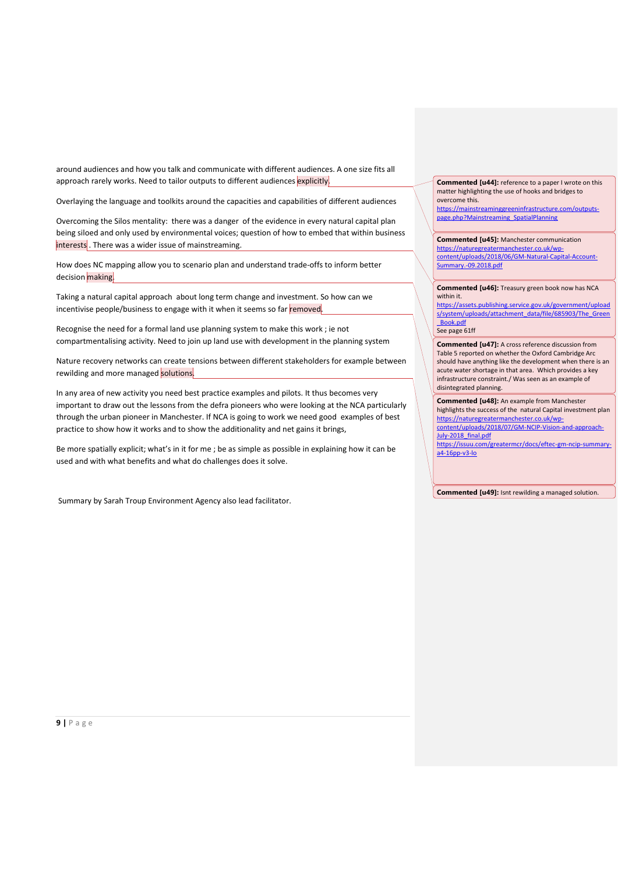around audiences and how you talk and communicate with different audiences. A one size fits all approach rarely works. Need to tailor outputs to different audiences explicitly.

Overlaying the language and toolkits around the capacities and capabilities of different audiences

Overcoming the Silos mentality: there was a danger of the evidence in every natural capital plan being siloed and only used by environmental voices; question of how to embed that within business interests . There was a wider issue of mainstreaming.

How does NC mapping allow you to scenario plan and understand trade-offs to inform better decision making.

Taking a natural capital approach about long term change and investment. So how can we incentivise people/business to engage with it when it seems so far removed.

Recognise the need for a formal land use planning system to make this work ; ie not compartmentalising activity. Need to join up land use with development in the planning system

Nature recovery networks can create tensions between different stakeholders for example between rewilding and more managed solutions.

In any area of new activity you need best practice examples and pilots. It thus becomes very important to draw out the lessons from the defra pioneers who were looking at the NCA particularly through the urban pioneer in Manchester. If NCA is going to work we need good examples of best practice to show how it works and to show the additionality and net gains it brings,

Be more spatially explicit; what's in it for me ; be as simple as possible in explaining how it can be used and with what benefits and what do challenges does it solve.

Summary by Sarah Troup Environment Agency also lead facilitator.

**Commented [u44]:** reference to a paper I wrote on this matter highlighting the use of hooks and bridges to overcome this.

[https://mainstreaminggreeninfrastructure.com/outputs](https://mainstreaminggreeninfrastructure.com/outputs-page.php?Mainstreaming_SpatialPlanning)[page.php?Mainstreaming\\_SpatialPlanning](https://mainstreaminggreeninfrastructure.com/outputs-page.php?Mainstreaming_SpatialPlanning)

**Commented [u45]:** Manchester communication [https://naturegreatermanchester.co.uk/wp](https://naturegreatermanchester.co.uk/wp-content/uploads/2018/06/GM-Natural-Capital-Account-Summary.-09.2018.pdf)[content/uploads/2018/06/GM-Natural-Capital-Account-](https://naturegreatermanchester.co.uk/wp-content/uploads/2018/06/GM-Natural-Capital-Account-Summary.-09.2018.pdf)[Summary.-09.2018.pdf](https://naturegreatermanchester.co.uk/wp-content/uploads/2018/06/GM-Natural-Capital-Account-Summary.-09.2018.pdf)

**Commented [u46]:** Treasury green book now has NCA within it.

[https://assets.publishing.service.gov.uk/government/upload](https://assets.publishing.service.gov.uk/government/uploads/system/uploads/attachment_data/file/685903/The_Green_Book.pdf) [s/system/uploads/attachment\\_data/file/685903/The\\_Green](https://assets.publishing.service.gov.uk/government/uploads/system/uploads/attachment_data/file/685903/The_Green_Book.pdf) [\\_Book.pdf](https://assets.publishing.service.gov.uk/government/uploads/system/uploads/attachment_data/file/685903/The_Green_Book.pdf)

See page 61ff

**Commented [u47]:** A cross reference discussion from Table 5 reported on whether the Oxford Cambridge Arc should have anything like the development when there is an acute water shortage in that area. Which provides a key infrastructure constraint./ Was seen as an example of disintegrated planning.

**Commented [u48]:** An example from Manchester highlights the success of the natural Capital investment plan [https://naturegreatermanchester.co.uk/wp](https://naturegreatermanchester.co.uk/wp-content/uploads/2018/07/GM-NCIP-Vision-and-approach-July-2018_final.pdf)[content/uploads/2018/07/GM-NCIP-Vision-and-approach-](https://naturegreatermanchester.co.uk/wp-content/uploads/2018/07/GM-NCIP-Vision-and-approach-July-2018_final.pdf)[July-2018\\_final.pdf](https://naturegreatermanchester.co.uk/wp-content/uploads/2018/07/GM-NCIP-Vision-and-approach-July-2018_final.pdf)

[https://issuu.com/greatermcr/docs/eftec-gm-ncip-summary](https://issuu.com/greatermcr/docs/eftec-gm-ncip-summary-a4-16pp-v3-lo)[a4-16pp-v3-lo](https://issuu.com/greatermcr/docs/eftec-gm-ncip-summary-a4-16pp-v3-lo)

**Commented [u49]:** Isnt rewilding a managed solution.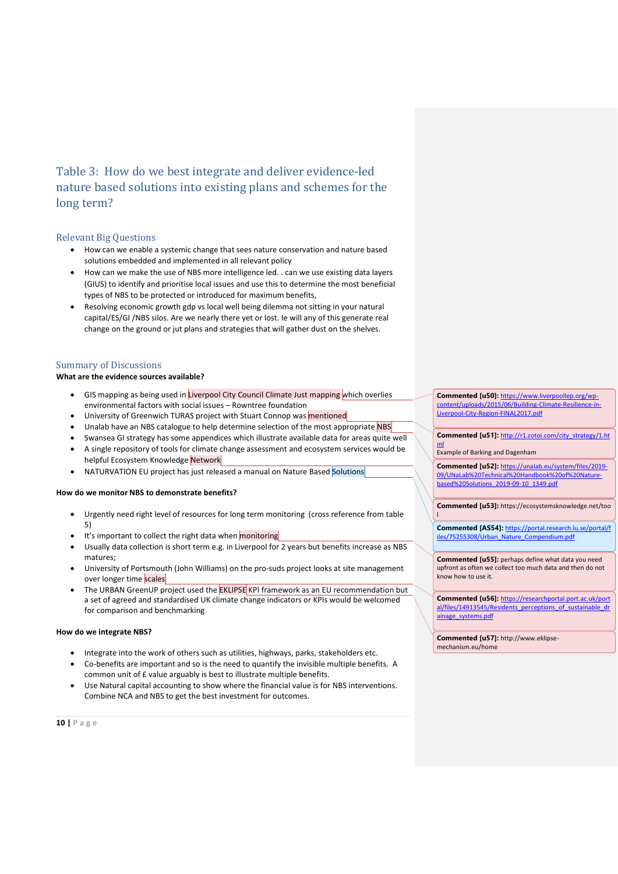Table 3: How do we best integrate and deliver evidence-led nature based solutions into existing plans and schemes for the long term?

#### Relevant Big Questions

- How can we enable a systemic change that sees nature conservation and nature based solutions embedded and implemented in all relevant policy
- How can we make the use of NBS more intelligence led. . can we use existing data layers (GIUS) to identify and prioritise local issues and use this to determine the most beneficial types of NBS to be protected or introduced for maximum benefits,
- Resolving economic growth gdp vs local well being dilemma not sitting in your natural capital/ES/GI /NBS silos. Are we nearly there yet or lost. Ie will any of this generate real change on the ground or jut plans and strategies that will gather dust on the shelves.

### Summary of Discussions

#### **What are the evidence sources available?**

- GIS mapping as being used in Liverpool City Council Climate Just mapping which overlies environmental factors with social issues – Rowntree foundation
- University of Greenwich TURAS project with Stuart Connop was mentioned
- Unalab have an NBS catalogue to help determine selection of the most appropriate NBS
- Swansea GI strategy has some appendices which illustrate available data for areas quite well
- A single repository of tools for climate change assessment and ecosystem services would be helpful Ecosystem Knowledge Network
- NATURVATION EU project has just released a manual on Nature Based Solutions

### **How do we monitor NBS to demonstrate benefits?**

- Urgently need right level of resources for long term monitoring (cross reference from table 5)
- It's important to collect the right data when monitoring
- Usually data collection is short term e.g. in Liverpool for 2 years but benefits increase as NBS matures;
- University of Portsmouth (John Williams) on the pro-suds project looks at site management over longer time scales
- The URBAN GreenUP project used the **EKLIPSE** KPI framework as an EU recommendation but a set of agreed and standardised UK climate change indicators or KPIs would be welcomed for comparison and benchmarking

#### **How do we integrate NBS?**

- Integrate into the work of others such as utilities, highways, parks, stakeholders etc.
- Co-benefits are important and so is the need to quantify the invisible multiple benefits. A common unit of £ value arguably is best to illustrate multiple benefits.
- Use Natural capital accounting to show where the financial value is for NBS interventions. Combine NCA and NBS to get the best investment for outcomes.

**Commented [u50]:** [https://www.liverpoollep.org/wp](https://www.liverpoollep.org/wp-content/uploads/2015/06/Building-Climate-Resilience-in-Liverpool-City-Region-FINAL2017.pdf)content/uploads/2015/06/Building-Climate-Resilience [Liverpool-City-Region-FINAL2017.pdf](https://www.liverpoollep.org/wp-content/uploads/2015/06/Building-Climate-Resilience-in-Liverpool-City-Region-FINAL2017.pdf)

**Commented [u51]:** [http://r1.zotoi.com/city\\_strategy/1.ht](http://r1.zotoi.com/city_strategy/1.html) [ml](http://r1.zotoi.com/city_strategy/1.html)

Example of Barking and Dagenham

**Commented [u52]:** [https://unalab.eu/system/files/2019-](https://unalab.eu/system/files/2019-09/UNaLab%20Technical%20Handbook%20of%20Nature-based%20Solutions_2019-09-10_1349.pdf) [09/UNaLab%20Technical%20Handbook%20of%20Nature](https://unalab.eu/system/files/2019-09/UNaLab%20Technical%20Handbook%20of%20Nature-based%20Solutions_2019-09-10_1349.pdf)[based%20Solutions\\_2019-09-10\\_1349.pdf](https://unalab.eu/system/files/2019-09/UNaLab%20Technical%20Handbook%20of%20Nature-based%20Solutions_2019-09-10_1349.pdf)

**Commented [u53]:** https://ecosystemsknowledge.net/too l

**Commented [AS54]:** [https://portal.research.lu.se/portal/f](https://portal.research.lu.se/portal/files/75255308/Urban_Nature_Compendium.pdf) [iles/75255308/Urban\\_Nature\\_Compendium.pdf](https://portal.research.lu.se/portal/files/75255308/Urban_Nature_Compendium.pdf)

**Commented [u55]:** perhaps define what data you need upfront as often we collect too much data and then do not know how to use it.

**Commented [u56]:** [https://researchportal.port.ac.uk/port](https://researchportal.port.ac.uk/portal/files/14913545/Residents_perceptions_of_sustainable_drainage_systems.pdf) [al/files/14913545/Residents\\_perceptions\\_of\\_sustainable\\_dr](https://researchportal.port.ac.uk/portal/files/14913545/Residents_perceptions_of_sustainable_drainage_systems.pdf) [ainage\\_systems.pdf](https://researchportal.port.ac.uk/portal/files/14913545/Residents_perceptions_of_sustainable_drainage_systems.pdf)

**Commented [u57]:** http://www.eklipsemechanism.eu/home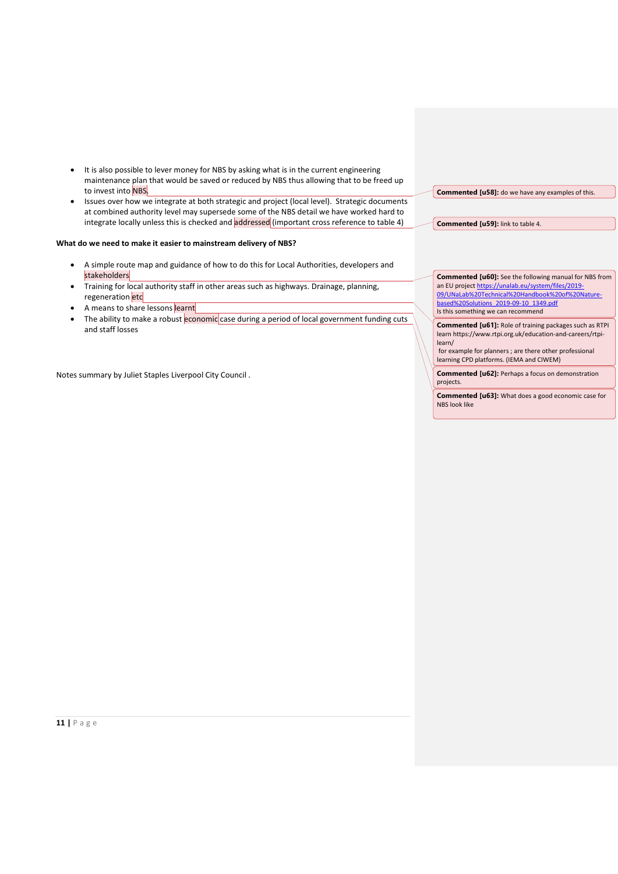- It is also possible to lever money for NBS by asking what is in the current engineering maintenance plan that would be saved or reduced by NBS thus allowing that to be freed up to invest into NBS.
- Issues over how we integrate at both strategic and project (local level). Strategic documents at combined authority level may supersede some of the NBS detail we have worked hard to integrate locally unless this is checked and addressed (important cross reference to table 4)

### **What do we need to make it easier to mainstream delivery of NBS?**

- A simple route map and guidance of how to do this for Local Authorities, developers and stakeholders
- Training for local authority staff in other areas such as highways. Drainage, planning, regeneration etc
- A means to share lessons learnt
- The ability to make a robust economic case during a period of local government funding cuts and staff losses

Notes summary by Juliet Staples Liverpool City Council .

**Commented [u58]:** do we have any examples of this.

**Commented [u59]:** link to table 4.

**Commented [u60]:** See the following manual for NBS from an EU projec[t https://unalab.eu/system/files/2019-](https://unalab.eu/system/files/2019-09/UNaLab%20Technical%20Handbook%20of%20Nature-based%20Solutions_2019-09-10_1349.pdf) [09/UNaLab%20Technical%20Handbook%20of%20Nature](https://unalab.eu/system/files/2019-09/UNaLab%20Technical%20Handbook%20of%20Nature-based%20Solutions_2019-09-10_1349.pdf)[based%20Solutions\\_2019-09-10\\_1349.pdf](https://unalab.eu/system/files/2019-09/UNaLab%20Technical%20Handbook%20of%20Nature-based%20Solutions_2019-09-10_1349.pdf) Is this something we can recommend

**Commented [u61]:** Role of training packages such as RTPI learn https://www.rtpi.org.uk/education-and-careers/rtpilearn/

for example for planners ; are there other professional learning CPD platforms. (IEMA and CIWEM)

**Commented [u62]:** Perhaps a focus on demonstration projects.

**Commented [u63]:** What does a good economic case for NBS look like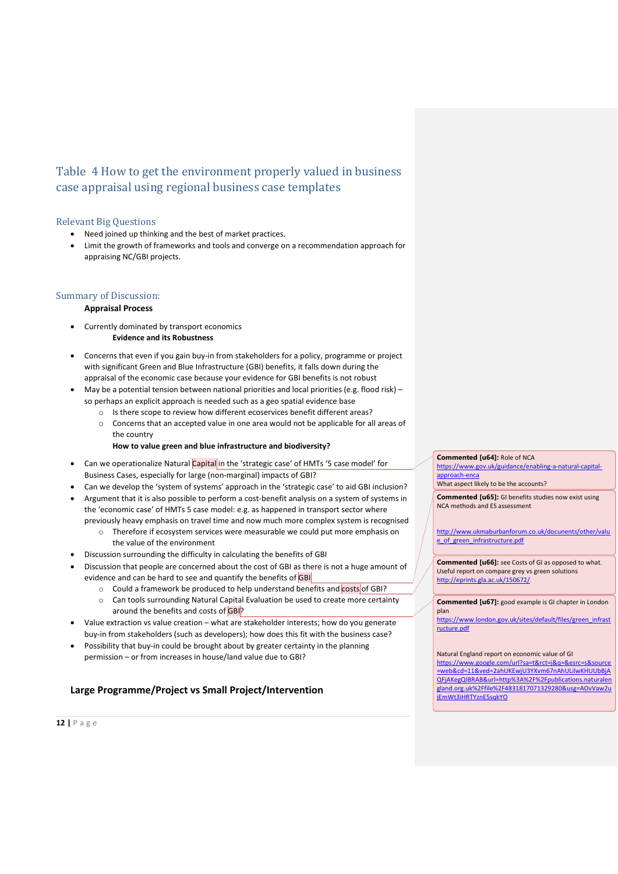# Table 4 How to get the environment properly valued in business case appraisal using regional business case templates

## Relevant Big Questions

- Need joined up thinking and the best of market practices.
- Limit the growth of frameworks and tools and converge on a recommendation approach for appraising NC/GBI projects.

## Summary of Discussion:

## **Appraisal Process**

- Currently dominated by transport economics **Evidence and its Robustness**
- Concerns that even if you gain buy-in from stakeholders for a policy, programme or project with significant Green and Blue Infrastructure (GBI) benefits, it falls down during the appraisal of the economic case because your evidence for GBI benefits is not robust
- May be a potential tension between national priorities and local priorities (e.g. flood risk) so perhaps an explicit approach is needed such as a geo spatial evidence base
	- o Is there scope to review how different ecoservices benefit different areas?
	- o Concerns that an accepted value in one area would not be applicable for all areas of the country
		- **How to value green and blue infrastructure and biodiversity?**
- Can we operationalize Natural Capital in the 'strategic case' of HMTs '5 case model' for Business Cases, especially for large (non-marginal) impacts of GBI?
- Can we develop the 'system of systems' approach in the 'strategic case' to aid GBI inclusion?
- Argument that it is also possible to perform a cost-benefit analysis on a system of systems in the 'economic case' of HMTs 5 case model: e.g. as happened in transport sector where previously heavy emphasis on travel time and now much more complex system is recognised
	- o Therefore if ecosystem services were measurable we could put more emphasis on the value of the environment
- Discussion surrounding the difficulty in calculating the benefits of GBI
- Discussion that people are concerned about the cost of GBI as there is not a huge amount of evidence and can be hard to see and quantify the benefits of GBI
	- o Could a framework be produced to help understand benefits and costs of GBI?
	- o Can tools surrounding Natural Capital Evaluation be used to create more certainty around the benefits and costs of GBI?
- Value extraction vs value creation what are stakeholder interests; how do you generate buy-in from stakeholders (such as developers); how does this fit with the business case?
- Possibility that buy-in could be brought about by greater certainty in the planning permission – or from increases in house/land value due to GBI?

## **Large Programme/Project vs Small Project/Intervention**

**Commented [u64]:** Role of NCA

[https://www.gov.uk/guidance/enabling-a-natural-capital](https://www.gov.uk/guidance/enabling-a-natural-capital-approach-enca)[approach-enca](https://www.gov.uk/guidance/enabling-a-natural-capital-approach-enca)

What aspect likely to be the accounts?

**Commented [u65]:** GI benefits studies now exist using NCA methods and ES assessment

[http://www.ukmaburbanforum.co.uk/docunents/other/valu](http://www.ukmaburbanforum.co.uk/docunents/other/value_of_green_infrastructure.pdf) [e\\_of\\_green\\_infrastructure.pdf](http://www.ukmaburbanforum.co.uk/docunents/other/value_of_green_infrastructure.pdf)

**Commented [u66]:** see Costs of GI as opposed to what. Useful report on compare grey vs green solutions <http://eprints.gla.ac.uk/150672/>

**Commented [u67]:** good example is GI chapter in London plan

[https://www.london.gov.uk/sites/default/files/green\\_infrast](https://www.london.gov.uk/sites/default/files/green_infrastructure.pdf) [ructure.pdf](https://www.london.gov.uk/sites/default/files/green_infrastructure.pdf)

Natural England report on economic value of GI [https://www.google.com/url?sa=t&rct=j&q=&esrc=s&source](https://www.google.com/url?sa=t&rct=j&q=&esrc=s&source=web&cd=11&ved=2ahUKEwjU3YXvm67nAhULilwKHUUbBjAQFjAKegQIBRAB&url=http%3A%2F%2Fpublications.naturalengland.org.uk%2Ffile%2F4831817071329280&usg=AOvVaw2ujEmWt3iHRTYznE5sqkYO) [=web&cd=11&ved=2ahUKEwjU3YXvm67nAhULilwKHUUbBjA](https://www.google.com/url?sa=t&rct=j&q=&esrc=s&source=web&cd=11&ved=2ahUKEwjU3YXvm67nAhULilwKHUUbBjAQFjAKegQIBRAB&url=http%3A%2F%2Fpublications.naturalengland.org.uk%2Ffile%2F4831817071329280&usg=AOvVaw2ujEmWt3iHRTYznE5sqkYO) [QFjAKegQIBRAB&url=http%3A%2F%2Fpublications.naturalen](https://www.google.com/url?sa=t&rct=j&q=&esrc=s&source=web&cd=11&ved=2ahUKEwjU3YXvm67nAhULilwKHUUbBjAQFjAKegQIBRAB&url=http%3A%2F%2Fpublications.naturalengland.org.uk%2Ffile%2F4831817071329280&usg=AOvVaw2ujEmWt3iHRTYznE5sqkYO) [gland.org.uk%2Ffile%2F4831817071329280&usg=AOvVaw2u](https://www.google.com/url?sa=t&rct=j&q=&esrc=s&source=web&cd=11&ved=2ahUKEwjU3YXvm67nAhULilwKHUUbBjAQFjAKegQIBRAB&url=http%3A%2F%2Fpublications.naturalengland.org.uk%2Ffile%2F4831817071329280&usg=AOvVaw2ujEmWt3iHRTYznE5sqkYO) [jEmWt3iHRTYznE5sqkYO](https://www.google.com/url?sa=t&rct=j&q=&esrc=s&source=web&cd=11&ved=2ahUKEwjU3YXvm67nAhULilwKHUUbBjAQFjAKegQIBRAB&url=http%3A%2F%2Fpublications.naturalengland.org.uk%2Ffile%2F4831817071329280&usg=AOvVaw2ujEmWt3iHRTYznE5sqkYO)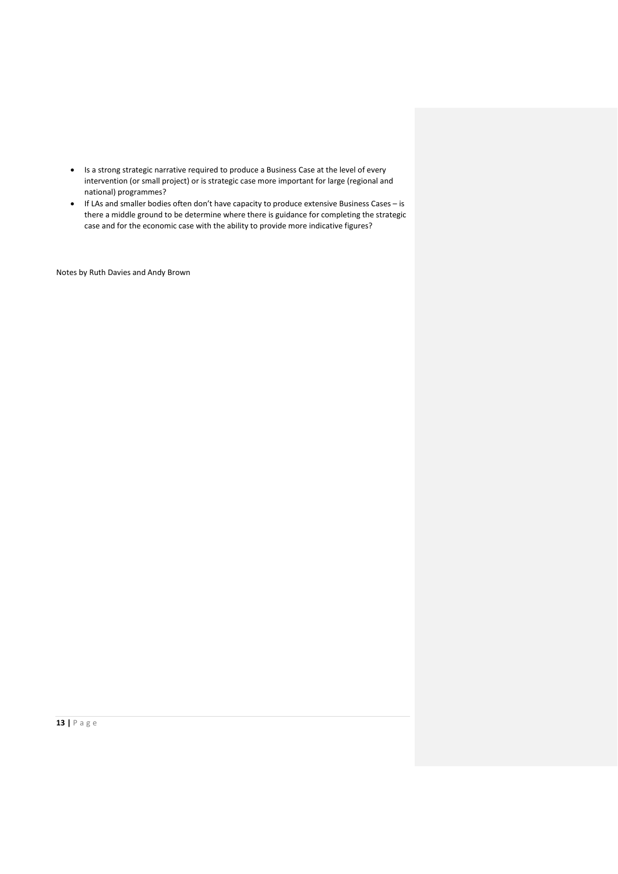- Is a strong strategic narrative required to produce a Business Case at the level of every intervention (or small project) or is strategic case more important for large (regional and national) programmes?
- If LAs and smaller bodies often don't have capacity to produce extensive Business Cases is there a middle ground to be determine where there is guidance for completing the strategic case and for the economic case with the ability to provide more indicative figures?

Notes by Ruth Davies and Andy Brown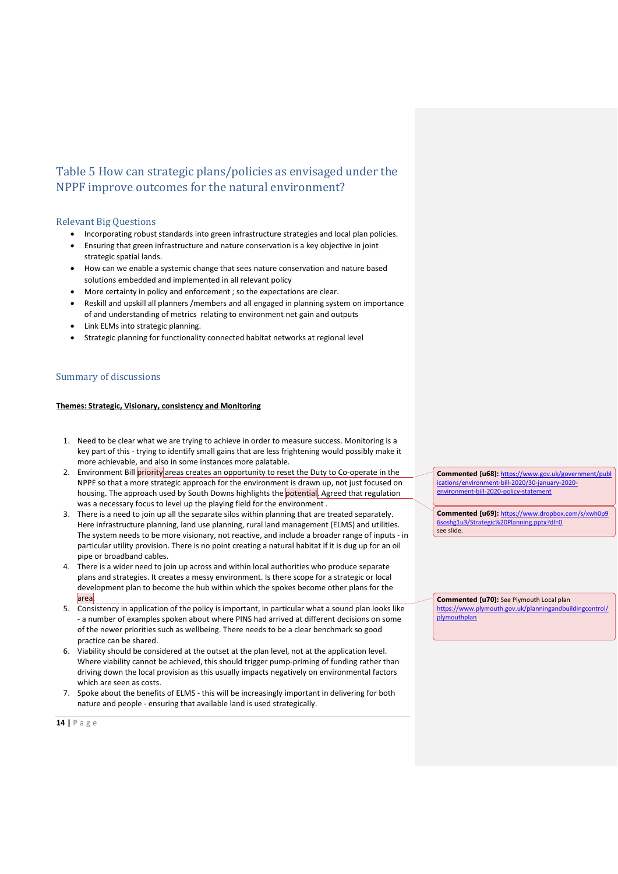## Table 5 How can strategic plans/policies as envisaged under the NPPF improve outcomes for the natural environment?

## Relevant Big Questions

- Incorporating robust standards into green infrastructure strategies and local plan policies.
- Ensuring that green infrastructure and nature conservation is a key objective in joint strategic spatial lands.
- How can we enable a systemic change that sees nature conservation and nature based solutions embedded and implemented in all relevant policy
- More certainty in policy and enforcement ; so the expectations are clear.
- Reskill and upskill all planners /members and all engaged in planning system on importance of and understanding of metrics relating to environment net gain and outputs
- Link ELMs into strategic planning.
- Strategic planning for functionality connected habitat networks at regional level

### Summary of discussions

#### **Themes: Strategic, Visionary, consistency and Monitoring**

- 1. Need to be clear what we are trying to achieve in order to measure success. Monitoring is a key part of this - trying to identify small gains that are less frightening would possibly make it more achievable, and also in some instances more palatable.
- 2. Environment Bill priority areas creates an opportunity to reset the Duty to Co-operate in the NPPF so that a more strategic approach for the environment is drawn up, not just focused on housing. The approach used by South Downs highlights the potential. Agreed that regulation was a necessary focus to level up the playing field for the environment .
- 3. There is a need to join up all the separate silos within planning that are treated separately. Here infrastructure planning, land use planning, rural land management (ELMS) and utilities. The system needs to be more visionary, not reactive, and include a broader range of inputs - in particular utility provision. There is no point creating a natural habitat if it is dug up for an oil pipe or broadband cables.
- 4. There is a wider need to join up across and within local authorities who produce separate plans and strategies. It creates a messy environment. Is there scope for a strategic or local development plan to become the hub within which the spokes become other plans for the area.
- 5. Consistency in application of the policy is important, in particular what a sound plan looks like - a number of examples spoken about where PINS had arrived at different decisions on some of the newer priorities such as wellbeing. There needs to be a clear benchmark so good practice can be shared.
- 6. Viability should be considered at the outset at the plan level, not at the application level. Where viability cannot be achieved, this should trigger pump-priming of funding rather than driving down the local provision as this usually impacts negatively on environmental factors which are seen as costs.
- 7. Spoke about the benefits of ELMS this will be increasingly important in delivering for both nature and people - ensuring that available land is used strategically.

**Commented [u68]:** [https://www.gov.uk/government/publ](https://www.gov.uk/government/publications/environment-bill-2020/30-january-2020-environment-bill-2020-policy-statement) [ications/environment-bill-2020/30-january-2020](https://www.gov.uk/government/publications/environment-bill-2020/30-january-2020-environment-bill-2020-policy-statement) [environment-bill-2020-policy-statement](https://www.gov.uk/government/publications/environment-bill-2020/30-january-2020-environment-bill-2020-policy-statement)

**Commented [u69]:** [https://www.dropbox.com/s/xwh0p9](https://www.dropbox.com/s/xwh0p96soshg1u3/Strategic%20Planning.pptx?dl=0) [6soshg1u3/Strategic%20Planning.pptx?dl=0](https://www.dropbox.com/s/xwh0p96soshg1u3/Strategic%20Planning.pptx?dl=0) see slide.

**Commented [u70]:** See Plymouth Local plan<br>https://www.plymouth.gov.uk/planningandbuildingcontrol/ https://www.plymouth.gov.uk/planningand [plymouthplan](https://www.plymouth.gov.uk/planningandbuildingcontrol/plymouthplan)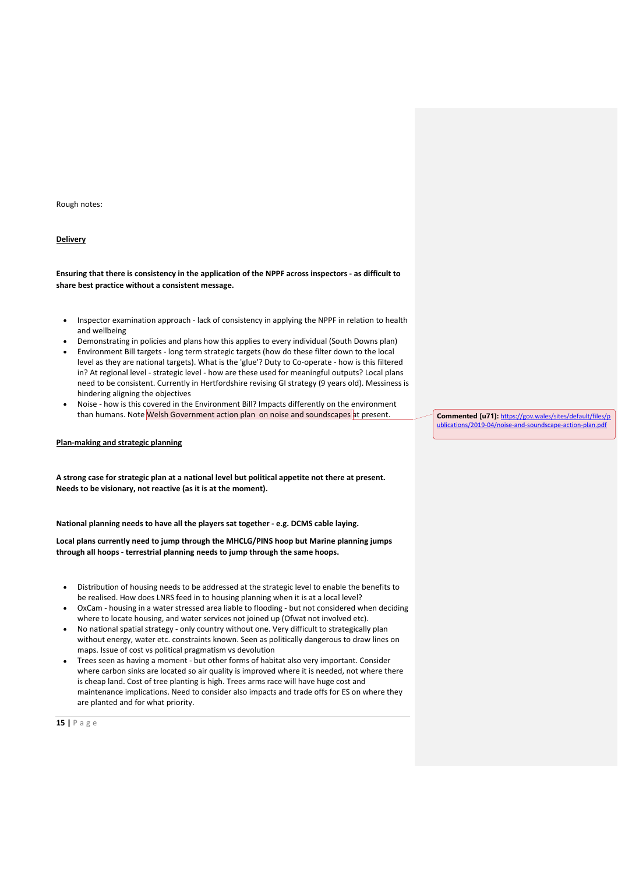Rough notes:

### **Delivery**

**Ensuring that there is consistency in the application of the NPPF across inspectors - as difficult to share best practice without a consistent message.**

- Inspector examination approach lack of consistency in applying the NPPF in relation to health and wellbeing
- Demonstrating in policies and plans how this applies to every individual (South Downs plan)
- Environment Bill targets long term strategic targets (how do these filter down to the local level as they are national targets). What is the 'glue'? Duty to Co-operate - how is this filtered in? At regional level - strategic level - how are these used for meaningful outputs? Local plans need to be consistent. Currently in Hertfordshire revising GI strategy (9 years old). Messiness is hindering aligning the objectives
- Noise how is this covered in the Environment Bill? Impacts differently on the environment than humans. Note Welsh Government action plan on noise and soundscapes at present.

#### **Plan-making and strategic planning**

**A strong case for strategic plan at a national level but political appetite not there at present. Needs to be visionary, not reactive (as it is at the moment).** 

**National planning needs to have all the players sat together - e.g. DCMS cable laying.**

**Local plans currently need to jump through the MHCLG/PINS hoop but Marine planning jumps through all hoops - terrestrial planning needs to jump through the same hoops.** 

- Distribution of housing needs to be addressed at the strategic level to enable the benefits to be realised. How does LNRS feed in to housing planning when it is at a local level?
- OxCam housing in a water stressed area liable to flooding but not considered when deciding where to locate housing, and water services not joined up (Ofwat not involved etc).
- No national spatial strategy only country without one. Very difficult to strategically plan without energy, water etc. constraints known. Seen as politically dangerous to draw lines on maps. Issue of cost vs political pragmatism vs devolution
- Trees seen as having a moment but other forms of habitat also very important. Consider where carbon sinks are located so air quality is improved where it is needed, not where there is cheap land. Cost of tree planting is high. Trees arms race will have huge cost and maintenance implications. Need to consider also impacts and trade offs for ES on where they are planted and for what priority.

**15 |** P a g e

**Commented [u71]:** [https://gov.wales/sites/default/files/p](https://gov.wales/sites/default/files/publications/2019-04/noise-and-soundscape-action-plan.pdf) [ublications/2019-04/noise-and-soundscape-action-plan.pdf](https://gov.wales/sites/default/files/publications/2019-04/noise-and-soundscape-action-plan.pdf)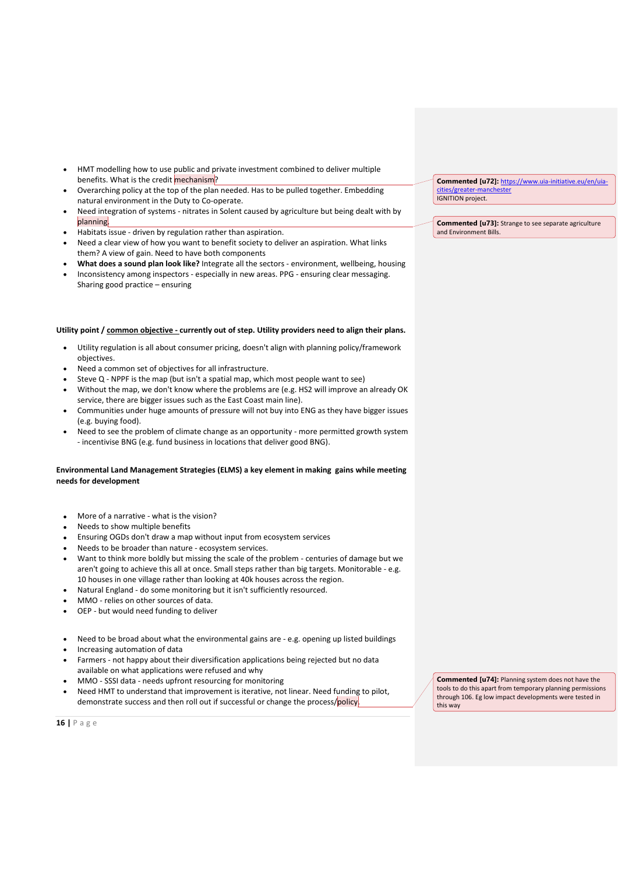- HMT modelling how to use public and private investment combined to deliver multiple benefits. What is the credit mechanism?
- Overarching policy at the top of the plan needed. Has to be pulled together. Embedding natural environment in the Duty to Co-operate.
- Need integration of systems nitrates in Solent caused by agriculture but being dealt with by planning.
- Habitats issue driven by regulation rather than aspiration.
- Need a clear view of how you want to benefit society to deliver an aspiration. What links them? A view of gain. Need to have both components
- **What does a sound plan look like?** Integrate all the sectors environment, wellbeing, housing
- Inconsistency among inspectors especially in new areas. PPG ensuring clear messaging. Sharing good practice – ensuring

#### **Utility point / common objective - currently out of step. Utility providers need to align their plans.**

- Utility regulation is all about consumer pricing, doesn't align with planning policy/framework objectives.
- Need a common set of objectives for all infrastructure.
- Steve Q NPPF is the map (but isn't a spatial map, which most people want to see)
- Without the map, we don't know where the problems are (e.g. HS2 will improve an already OK service, there are bigger issues such as the East Coast main line).
- Communities under huge amounts of pressure will not buy into ENG as they have bigger issues (e.g. buying food).
- Need to see the problem of climate change as an opportunity more permitted growth system - incentivise BNG (e.g. fund business in locations that deliver good BNG).

### **Environmental Land Management Strategies (ELMS) a key element in making gains while meeting needs for development**

- More of a narrative what is the vision?
- Needs to show multiple benefits
- Ensuring OGDs don't draw a map without input from ecosystem services
- Needs to be broader than nature ecosystem services.
- Want to think more boldly but missing the scale of the problem centuries of damage but we aren't going to achieve this all at once. Small steps rather than big targets. Monitorable - e.g. 10 houses in one village rather than looking at 40k houses across the region.
- Natural England do some monitoring but it isn't sufficiently resourced.
- MMO relies on other sources of data.
- OEP but would need funding to deliver
- Need to be broad about what the environmental gains are e.g. opening up listed buildings
- Increasing automation of data
- Farmers not happy about their diversification applications being rejected but no data available on what applications were refused and why
- MMO SSSI data needs upfront resourcing for monitoring
- Need HMT to understand that improvement is iterative, not linear. Need funding to pilot, demonstrate success and then roll out if successful or change the process/policy.

**Commented [u74]:** Planning system does not have the tools to do this apart from temporary planning permissions through 106. Eg low impact developments were tested in this way

**16 |** P a g e

**Commented [u72]:** [https://www.uia-initiative.eu/en/uia](https://www.uia-initiative.eu/en/uia-cities/greater-manchester)[cities/greater-manchester](https://www.uia-initiative.eu/en/uia-cities/greater-manchester) IGNITION project.

**Commented [u73]:** Strange to see separate agriculture and Environment Bills.